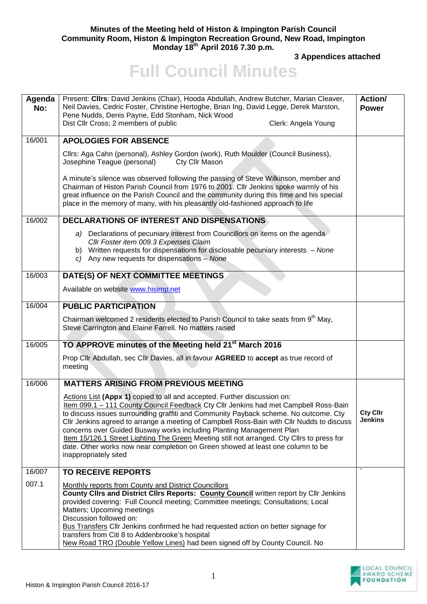## **Minutes of the Meeting held of Histon & Impington Parish Council Community Room, Histon & Impington Recreation Ground, New Road, Impington Monday 18th April 2016 7.30 p.m.**

**3 Appendices attached** 

## **Full Council Minutes**

| Agenda<br>No: | Present: Clirs: David Jenkins (Chair), Hooda Abdullah, Andrew Butcher, Marian Cleaver,<br>Neil Davies, Cedric Foster, Christine Hertoghe, Brian Ing, David Legge, Derek Marston,<br>Pene Nudds, Denis Payne, Edd Stonham, Nick Wood                                                                                                                                         | Action/<br><b>Power</b> |
|---------------|-----------------------------------------------------------------------------------------------------------------------------------------------------------------------------------------------------------------------------------------------------------------------------------------------------------------------------------------------------------------------------|-------------------------|
|               | Dist Cllr Cross; 2 members of public<br>Clerk: Angela Young                                                                                                                                                                                                                                                                                                                 |                         |
| 16/001        | <b>APOLOGIES FOR ABSENCE</b>                                                                                                                                                                                                                                                                                                                                                |                         |
|               | Cllrs: Aga Cahn (personal), Ashley Gordon (work), Ruth Moulder (Council Business),<br>Josephine Teague (personal)<br>Cty Cllr Mason                                                                                                                                                                                                                                         |                         |
|               | A minute's silence was observed following the passing of Steve Wilkinson, member and<br>Chairman of Histon Parish Council from 1976 to 2001. Cllr Jenkins spoke warmly of his<br>great influence on the Parish Council and the community during this time and his special<br>place in the memory of many, with his pleasantly old-fashioned approach to life                |                         |
| 16/002        | DECLARATIONS OF INTEREST AND DISPENSATIONS                                                                                                                                                                                                                                                                                                                                  |                         |
|               | a) Declarations of pecuniary interest from Councillors on items on the agenda<br>Cllr Foster item 009.3 Expenses Claim<br>b) Written requests for dispensations for disclosable pecuniary interests - None                                                                                                                                                                  |                         |
|               | c) Any new requests for dispensations - None                                                                                                                                                                                                                                                                                                                                |                         |
| 16/003        | DATE(S) OF NEXT COMMITTEE MEETINGS                                                                                                                                                                                                                                                                                                                                          |                         |
|               | Available on website www.hisimp.net                                                                                                                                                                                                                                                                                                                                         |                         |
| 16/004        | <b>PUBLIC PARTICIPATION</b>                                                                                                                                                                                                                                                                                                                                                 |                         |
|               | Chairman welcomed 2 residents elected to Parish Council to take seats from 9 <sup>th</sup> May,<br>Steve Carrington and Elaine Farrell. No matters raised                                                                                                                                                                                                                   |                         |
| 16/005        | TO APPROVE minutes of the Meeting held 21 <sup>st</sup> March 2016                                                                                                                                                                                                                                                                                                          |                         |
|               | Prop Cllr Abdullah, sec Cllr Davies, all in favour AGREED to accept as true record of<br>meeting                                                                                                                                                                                                                                                                            |                         |
| 16/006        | <b>MATTERS ARISING FROM PREVIOUS MEETING</b>                                                                                                                                                                                                                                                                                                                                |                         |
|               | Actions List (Appx 1) copied to all and accepted. Further discussion on:<br>Item 099.1 - 111 County Council Feedback Cty Cllr Jenkins had met Campbell Ross-Bain<br>to discuss issues surrounding graffiti and Community Payback scheme. No outcome. Cty                                                                                                                    | Cty Cllr                |
|               | Cllr Jenkins agreed to arrange a meeting of Campbell Ross-Bain with Cllr Nudds to discuss<br>concerns over Guided Busway works including Planting Management Plan<br>Item 15/126.1 Street Lighting The Green Meeting still not arranged. Cty Cllrs to press for<br>date. Other works now near completion on Green showed at least one column to be<br>inappropriately sited | <b>Jenkins</b>          |
| 16/007        | <b>TO RECEIVE REPORTS</b>                                                                                                                                                                                                                                                                                                                                                   |                         |
| 007.1         | Monthly reports from County and District Councillors<br>County Clirs and District Clirs Reports: County Council written report by Clir Jenkins<br>provided covering: Full Council meeting; Committee meetings; Consultations; Local<br>Matters; Upcoming meetings<br>Discussion followed on:                                                                                |                         |
|               | Bus Transfers Cllr Jenkins confirmed he had requested action on better signage for<br>transfers from Citi 8 to Addenbrooke's hospital<br>New Road TRO (Double Yellow Lines) had been signed off by County Council. No                                                                                                                                                       |                         |

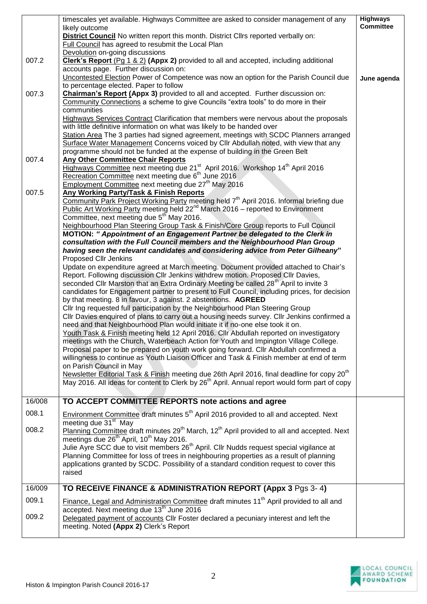|        | timescales yet available. Highways Committee are asked to consider management of any                                                                                                  | <b>Highways</b><br><b>Committee</b> |
|--------|---------------------------------------------------------------------------------------------------------------------------------------------------------------------------------------|-------------------------------------|
|        | likely outcome<br>District Council No written report this month. District Cllrs reported verbally on:                                                                                 |                                     |
|        | Full Council has agreed to resubmit the Local Plan                                                                                                                                    |                                     |
|        | Devolution on-going discussions                                                                                                                                                       |                                     |
| 007.2  | Clerk's Report (Pg 1 & 2) (Appx 2) provided to all and accepted, including additional<br>accounts page. Further discussion on:                                                        |                                     |
|        | Uncontested Election Power of Competence was now an option for the Parish Council due                                                                                                 | June agenda                         |
|        | to percentage elected. Paper to follow                                                                                                                                                |                                     |
| 007.3  | <b>Chairman's Report (Appx 3)</b> provided to all and accepted. Further discussion on:                                                                                                |                                     |
|        | Community Connections a scheme to give Councils "extra tools" to do more in their                                                                                                     |                                     |
|        | communities<br>Highways Services Contract Clarification that members were nervous about the proposals                                                                                 |                                     |
|        | with little definitive information on what was likely to be handed over                                                                                                               |                                     |
|        | Station Area The 3 parties had signed agreement, meetings with SCDC Planners arranged                                                                                                 |                                     |
|        | Surface Water Management Concerns voiced by Cllr Abdullah noted, with view that any                                                                                                   |                                     |
|        | programme should not be funded at the expense of building in the Green Belt                                                                                                           |                                     |
| 007.4  | <b>Any Other Committee Chair Reports</b>                                                                                                                                              |                                     |
|        | Highways Committee next meeting due 21 <sup>st</sup> April 2016. Workshop 14 <sup>th</sup> April 2016<br>Recreation Committee next meeting due 6 <sup>th</sup> June 2016              |                                     |
|        | Employment Committee next meeting due 27 <sup>th</sup> May 2016                                                                                                                       |                                     |
| 007.5  | <b>Any Working Party/Task &amp; Finish Reports</b>                                                                                                                                    |                                     |
|        | Community Park Project Working Party meeting held 7 <sup>th</sup> April 2016. Informal briefing due                                                                                   |                                     |
|        | Public Art Working Party meeting held 22 <sup>nd</sup> March 2016 – reported to Environment<br>Committee, next meeting due 5 <sup>th</sup> May 2016.                                  |                                     |
|        | Neighbourhood Plan Steering Group Task & Finish/Core Group reports to Full Council                                                                                                    |                                     |
|        | MOTION: " Appointment of an Engagement Partner be delegated to the Clerk in                                                                                                           |                                     |
|        | consultation with the Full Council members and the Neighbourhood Plan Group                                                                                                           |                                     |
|        | having seen the relevant candidates and considering advice from Peter Gilheany"                                                                                                       |                                     |
|        | Proposed Cllr Jenkins<br>Update on expenditure agreed at March meeting. Document provided attached to Chair's                                                                         |                                     |
|        | Report. Following discussion Cllr Jenkins withdrew motion. Proposed Cllr Davies,                                                                                                      |                                     |
|        | seconded Cllr Marston that an Extra Ordinary Meeting be called 28 <sup>th</sup> April to invite 3                                                                                     |                                     |
|        | candidates for Engagement partner to present to Full Council, including prices, for decision                                                                                          |                                     |
|        | by that meeting. 8 in favour, 3 against. 2 abstentions. AGREED<br>Cllr Ing requested full participation by the Neighbourhood Plan Steering Group                                      |                                     |
|        | CIIr Davies enquired of plans to carry out a housing needs survey. CIIr Jenkins confirmed a                                                                                           |                                     |
|        | need and that Neighbourhood Plan would initiate it if no-one else took it on.                                                                                                         |                                     |
|        | Youth Task & Finish meeting held 12 April 2016. Cllr Abdullah reported on investigatory                                                                                               |                                     |
|        | meetings with the Church, Waterbeach Action for Youth and Impington Village College.                                                                                                  |                                     |
|        | Proposal paper to be prepared on youth work going forward. Cllr Abdullah confirmed a<br>willingness to continue as Youth Liaison Officer and Task & Finish member at end of term      |                                     |
|        | on Parish Council in May                                                                                                                                                              |                                     |
|        | Newsletter Editorial Task & Finish meeting due 26th April 2016, final deadline for copy 20 <sup>th</sup>                                                                              |                                     |
|        | May 2016. All ideas for content to Clerk by 26 <sup>th</sup> April. Annual report would form part of copy                                                                             |                                     |
|        |                                                                                                                                                                                       |                                     |
| 16/008 | TO ACCEPT COMMITTEE REPORTS note actions and agree                                                                                                                                    |                                     |
| 008.1  | Environment Committee draft minutes 5 <sup>th</sup> April 2016 provided to all and accepted. Next                                                                                     |                                     |
| 008.2  | meeting due 31 <sup>st</sup> May                                                                                                                                                      |                                     |
|        | Planning Committee draft minutes 29 <sup>th</sup> March, 12 <sup>th</sup> April provided to all and accepted. Next<br>meetings due 26 <sup>th</sup> April, 10 <sup>th</sup> May 2016. |                                     |
|        | Julie Ayre SCC due to visit members 26 <sup>th</sup> April. Cllr Nudds request special vigilance at                                                                                   |                                     |
|        | Planning Committee for loss of trees in neighbouring properties as a result of planning                                                                                               |                                     |
|        | applications granted by SCDC. Possibility of a standard condition request to cover this                                                                                               |                                     |
|        | raised                                                                                                                                                                                |                                     |
| 16/009 | TO RECEIVE FINANCE & ADMINISTRATION REPORT (Appx 3 Pgs 3-4)                                                                                                                           |                                     |
| 009.1  | Finance, Legal and Administration Committee draft minutes 11 <sup>th</sup> April provided to all and                                                                                  |                                     |
|        | accepted. Next meeting due 13 <sup>th</sup> June 2016                                                                                                                                 |                                     |
| 009.2  | Delegated payment of accounts Cllr Foster declared a pecuniary interest and left the                                                                                                  |                                     |
|        | meeting. Noted (Appx 2) Clerk's Report                                                                                                                                                |                                     |
|        |                                                                                                                                                                                       |                                     |

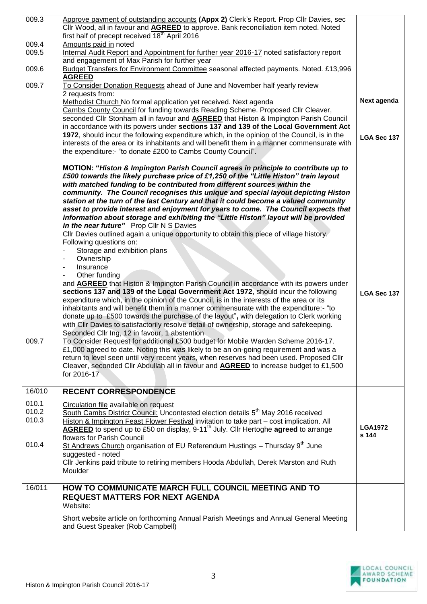| 009.3  | Approve payment of outstanding accounts (Appx 2) Clerk's Report. Prop Cllr Davies, sec                                                                                               |                |
|--------|--------------------------------------------------------------------------------------------------------------------------------------------------------------------------------------|----------------|
|        | Cllr Wood, all in favour and <b>AGREED</b> to approve. Bank reconciliation item noted. Noted                                                                                         |                |
|        | first half of precept received 18 <sup>th</sup> April 2016                                                                                                                           |                |
| 009.4  | Amounts paid in noted                                                                                                                                                                |                |
| 009.5  | Internal Audit Report and Appointment for further year 2016-17 noted satisfactory report                                                                                             |                |
|        | and engagement of Max Parish for further year                                                                                                                                        |                |
| 009.6  | Budget Transfers for Environment Committee seasonal affected payments. Noted. £13,996<br><b>AGREED</b>                                                                               |                |
| 009.7  | To Consider Donation Requests ahead of June and November half yearly review                                                                                                          |                |
|        | 2 requests from:                                                                                                                                                                     | Next agenda    |
|        | Methodist Church No formal application yet received. Next agenda                                                                                                                     |                |
|        | Cambs County Council for funding towards Reading Scheme. Proposed Cllr Cleaver,                                                                                                      |                |
|        | seconded Cllr Stonham all in favour and <b>AGREED</b> that Histon & Impington Parish Council<br>in accordance with its powers under sections 137 and 139 of the Local Government Act |                |
|        | 1972, should incur the following expenditure which, in the opinion of the Council, is in the                                                                                         |                |
|        | interests of the area or its inhabitants and will benefit them in a manner commensurate with                                                                                         | LGA Sec 137    |
|        | the expenditure:- "to donate £200 to Cambs County Council".                                                                                                                          |                |
|        |                                                                                                                                                                                      |                |
|        | MOTION: "Histon & Impington Parish Council agrees in principle to contribute up to                                                                                                   |                |
|        | £500 towards the likely purchase price of £1,250 of the "Little Histon" train layout                                                                                                 |                |
|        | with matched funding to be contributed from different sources within the                                                                                                             |                |
|        | community. The Council recognises this unique and special layout depicting Histon                                                                                                    |                |
|        | station at the turn of the last Century and that it could become a valued community                                                                                                  |                |
|        | asset to provide interest and enjoyment for years to come. The Council expects that                                                                                                  |                |
|        | information about storage and exhibiting the "Little Histon" layout will be provided                                                                                                 |                |
|        | in the near future" Prop Cllr N S Davies                                                                                                                                             |                |
|        | CIIr Davies outlined again a unique opportunity to obtain this piece of village history.                                                                                             |                |
|        | Following questions on:                                                                                                                                                              |                |
|        | Storage and exhibition plans                                                                                                                                                         |                |
|        | Ownership<br>$\overline{\phantom{a}}$                                                                                                                                                |                |
|        | Insurance<br>$\overline{\phantom{a}}$                                                                                                                                                |                |
|        | Other funding<br>٠                                                                                                                                                                   |                |
|        | and <b>AGREED</b> that Histon & Impington Parish Council in accordance with its powers under                                                                                         |                |
|        | sections 137 and 139 of the Local Government Act 1972, should incur the following                                                                                                    | LGA Sec 137    |
|        | expenditure which, in the opinion of the Council, is in the interests of the area or its                                                                                             |                |
|        | inhabitants and will benefit them in a manner commensurate with the expenditure:- "to                                                                                                |                |
|        | donate up to £500 towards the purchase of the layout", with delegation to Clerk working                                                                                              |                |
|        | with CIIr Davies to satisfactorily resolve detail of ownership, storage and safekeeping.                                                                                             |                |
| 009.7  | Seconded Cllr Ing, 12 in favour, 1 abstention                                                                                                                                        |                |
|        | To Consider Request for additional £500 budget for Mobile Warden Scheme 2016-17.<br>£1,000 agreed to date. Noting this was likely to be an on-going requirement and was a            |                |
|        | return to level seen until very recent years, when reserves had been used. Proposed Cllr                                                                                             |                |
|        | Cleaver, seconded Cllr Abdullah all in favour and <b>AGREED</b> to increase budget to £1,500                                                                                         |                |
|        | for 2016-17                                                                                                                                                                          |                |
|        |                                                                                                                                                                                      |                |
| 16/010 | <b>RECENT CORRESPONDENCE</b>                                                                                                                                                         |                |
| 010.1  | Circulation file available on request                                                                                                                                                |                |
| 010.2  | South Cambs District Council: Uncontested election details 5 <sup>th</sup> May 2016 received                                                                                         |                |
| 010.3  | Histon & Impington Feast Flower Festival invitation to take part - cost implication. All                                                                                             |                |
|        | AGREED to spend up to £50 on display, 9-11 <sup>th</sup> July. Cllr Hertoghe agreed to arrange                                                                                       | <b>LGA1972</b> |
|        | flowers for Parish Council                                                                                                                                                           | s 144          |
| 010.4  | St Andrews Church organisation of EU Referendum Hustings - Thursday 9 <sup>th</sup> June                                                                                             |                |
|        | suggested - noted                                                                                                                                                                    |                |
|        | Cllr Jenkins paid tribute to retiring members Hooda Abdullah, Derek Marston and Ruth                                                                                                 |                |
|        | Moulder                                                                                                                                                                              |                |
| 16/011 | HOW TO COMMUNICATE MARCH FULL COUNCIL MEETING AND TO                                                                                                                                 |                |
|        | <b>REQUEST MATTERS FOR NEXT AGENDA</b>                                                                                                                                               |                |
|        | Website:                                                                                                                                                                             |                |
|        |                                                                                                                                                                                      |                |
|        | Short website article on forthcoming Annual Parish Meetings and Annual General Meeting<br>and Guest Speaker (Rob Campbell)                                                           |                |
|        |                                                                                                                                                                                      |                |